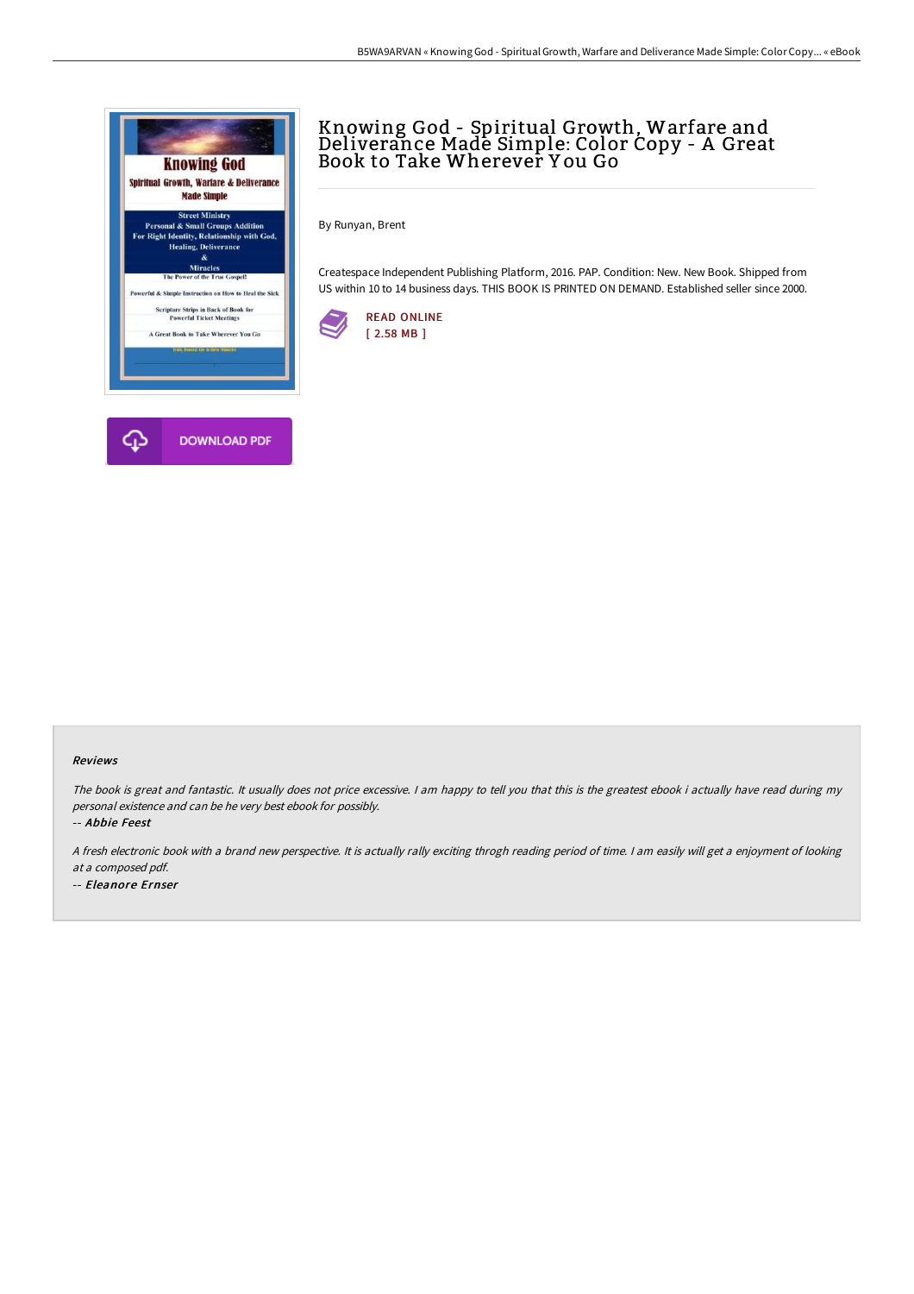

# Knowing God - Spiritual Growth, Warfare and Deliverance Made Simple: Color Copy - A Great Book to Take Wherever Y ou Go

By Runyan, Brent

Createspace Independent Publishing Platform, 2016. PAP. Condition: New. New Book. Shipped from US within 10 to 14 business days. THIS BOOK IS PRINTED ON DEMAND. Established seller since 2000.



#### Reviews

The book is great and fantastic. It usually does not price excessive. <sup>I</sup> am happy to tell you that this is the greatest ebook i actually have read during my personal existence and can be he very best ebook for possibly.

-- Abbie Feest

<sup>A</sup> fresh electronic book with <sup>a</sup> brand new perspective. It is actually rally exciting throgh reading period of time. <sup>I</sup> am easily will get <sup>a</sup> enjoyment of looking at <sup>a</sup> composed pdf. -- Eleanore Ernser